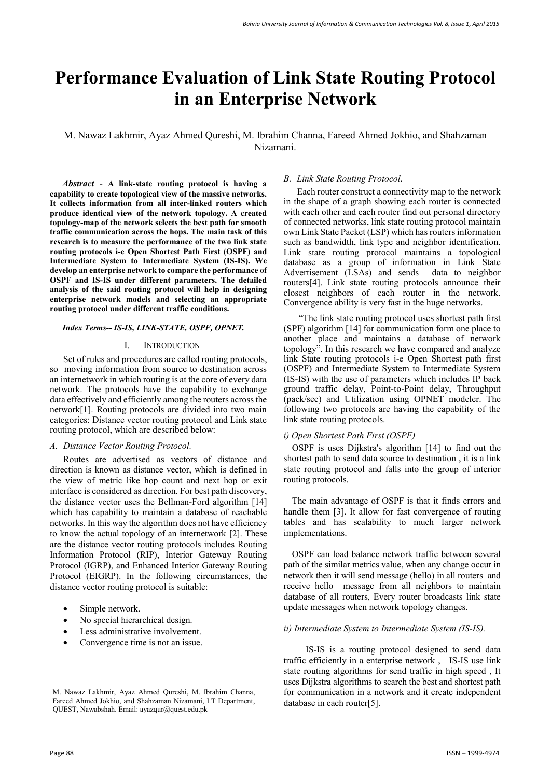# **Performance Evaluation of Link State Routing Protocol in an Enterprise Network**

## M. Nawaz Lakhmir, Ayaz Ahmed Qureshi, M. Ibrahim Channa, Fareed Ahmed Jokhio, and Shahzaman Nizamani.

*Abstract* - **A link-state routing protocol is having a capability to create topological view of the massive networks. It collects information from all inter-linked routers which produce identical view of the network topology. A created topology-map of the network selects the best path for smooth traffic communication across the hops. The main task of this research is to measure the performance of the two link state routing protocols i-e Open Shortest Path First (OSPF) and Intermediate System to Intermediate System (IS-IS). We develop an enterprise network to compare the performance of OSPF and IS-IS under different parameters. The detailed analysis of the said routing protocol will help in designing enterprise network models and selecting an appropriate routing protocol under different traffic conditions.** 

## *Index Terms-- IS-IS, LINK-STATE, OSPF, OPNET.*

#### I. INTRODUCTION

Set of rules and procedures are called routing protocols, so moving information from source to destination across an internetwork in which routing is at the core of every data network. The protocols have the capability to exchange data effectively and efficiently among the routers across the network[1]. Routing protocols are divided into two main categories: Distance vector routing protocol and Link state routing protocol, which are described below:

#### *A. Distance Vector Routing Protocol.*

Routes are advertised as vectors of distance and direction is known as distance vector, which is defined in the view of metric like hop count and next hop or exit interface is considered as direction. For best path discovery, the distance vector uses the Bellman-Ford algorithm [14] which has capability to maintain a database of reachable networks. In this way the algorithm does not have efficiency to know the actual topology of an internetwork [2]. These are the distance vector routing protocols includes Routing Information Protocol (RIP), Interior Gateway Routing Protocol (IGRP), and Enhanced Interior Gateway Routing Protocol (EIGRP). In the following circumstances, the distance vector routing protocol is suitable:

- Simple network.
- No special hierarchical design.
- Less administrative involvement.
- Convergence time is not an issue.

## *B. Link State Routing Protocol.*

Each router construct a connectivity map to the network in the shape of a graph showing each router is connected with each other and each router find out personal directory of connected networks, link state routing protocol maintain own Link State Packet (LSP) which has routers information such as bandwidth, link type and neighbor identification. Link state routing protocol maintains a topological database as a group of information in Link State Advertisement (LSAs) and sends data to neighbor routers[4]. Link state routing protocols announce their closest neighbors of each router in the network. Convergence ability is very fast in the huge networks.

 "The link state routing protocol uses shortest path first (SPF) algorithm [14] for communication form one place to another place and maintains a database of network topology". In this research we have compared and analyze link State routing protocols i-e Open Shortest path first (OSPF) and Intermediate System to Intermediate System (IS-IS) with the use of parameters which includes IP back ground traffic delay, Point-to-Point delay, Throughput (pack/sec) and Utilization using OPNET modeler. The following two protocols are having the capability of the link state routing protocols.

## *i) Open Shortest Path First (OSPF)*

OSPF is uses Dijkstra's algorithm [14] to find out the shortest path to send data source to destination , it is a link state routing protocol and falls into the group of interior routing protocols.

The main advantage of OSPF is that it finds errors and handle them [3]. It allow for fast convergence of routing tables and has scalability to much larger network implementations.

OSPF can load balance network traffic between several path of the similar metrics value, when any change occur in network then it will send message (hello) in all routers and receive hello message from all neighbors to maintain database of all routers, Every router broadcasts link state update messages when network topology changes.

#### *ii) Intermediate System to Intermediate System (IS-IS).*

 IS-IS is a routing protocol designed to send data traffic efficiently in a enterprise network , IS-IS use link state routing algorithms for send traffic in high speed , It uses Dijkstra algorithms to search the best and shortest path for communication in a network and it create independent database in each router[5].

M. Nawaz Lakhmir, Ayaz Ahmed Qureshi, M. Ibrahim Channa, Fareed Ahmed Jokhio, and Shahzaman Nizamani, I.T Department, QUEST, Nawabshah. Email: ayazqur@quest.edu.pk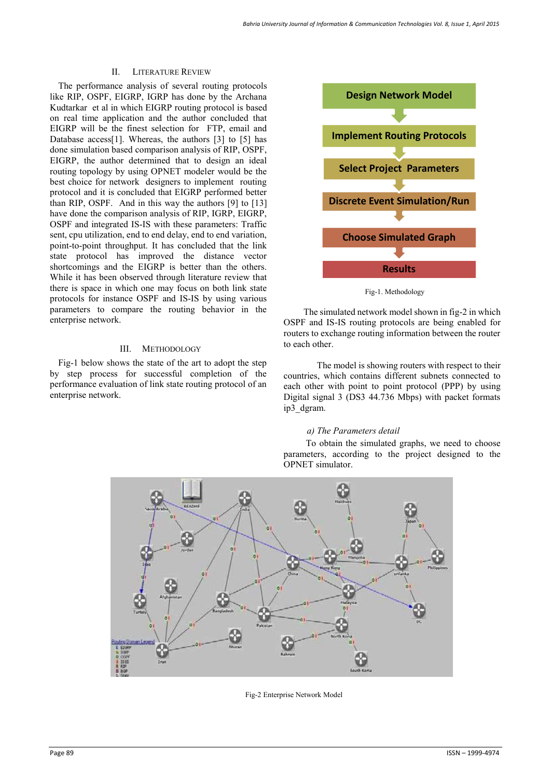## II. LITERATURE REVIEW

The performance analysis of several routing protocols like RIP, OSPF, EIGRP, IGRP has done by the Archana Kudtarkar et al in which EIGRP routing protocol is based on real time application and the author concluded that EIGRP will be the finest selection for FTP, email and Database access[1]. Whereas, the authors [3] to [5] has done simulation based comparison analysis of RIP, OSPF, EIGRP, the author determined that to design an ideal routing topology by using OPNET modeler would be the best choice for network designers to implement routing protocol and it is concluded that EIGRP performed better than RIP, OSPF. And in this way the authors [9] to [13] have done the comparison analysis of RIP, IGRP, EIGRP, OSPF and integrated IS-IS with these parameters: Traffic sent, cpu utilization, end to end delay, end to end variation, point-to-point throughput. It has concluded that the link state protocol has improved the distance vector shortcomings and the EIGRP is better than the others. While it has been observed through literature review that there is space in which one may focus on both link state protocols for instance OSPF and IS-IS by using various parameters to compare the routing behavior in the enterprise network.

## III. METHODOLOGY

Fig-1 below shows the state of the art to adopt the step by step process for successful completion of the performance evaluation of link state routing protocol of an enterprise network.



Fig-1. Methodology

 The simulated network model shown in fig-2 in which OSPF and IS-IS routing protocols are being enabled for routers to exchange routing information between the router to each other.

 The model is showing routers with respect to their countries, which contains different subnets connected to each other with point to point protocol (PPP) by using Digital signal 3 (DS3 44.736 Mbps) with packet formats ip3\_dgram.

## *a) The Parameters detail*

 To obtain the simulated graphs, we need to choose parameters, according to the project designed to the OPNET simulator.



Fig-2 Enterprise Network Model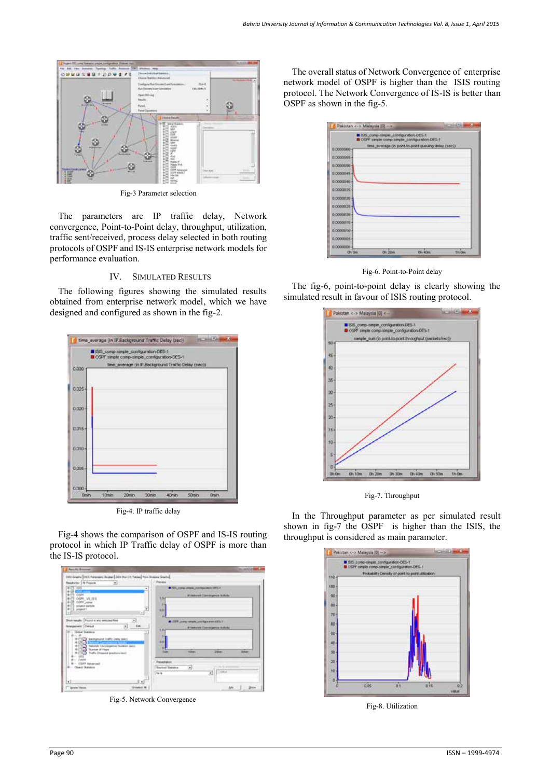

Fig-3 Parameter selection

The parameters are IP traffic delay, Network convergence, Point-to-Point delay, throughput, utilization, traffic sent/received, process delay selected in both routing protocols of OSPF and IS-IS enterprise network models for performance evaluation.

## IV. SIMULATED RESULTS

The following figures showing the simulated results obtained from enterprise network model, which we have designed and configured as shown in the fig-2.



Fig-4. IP traffic delay

Fig-4 shows the comparison of OSPF and IS-IS routing protocol in which IP Traffic delay of OSPF is more than the IS-IS protocol.



Fig-5. Network Convergence

The overall status of Network Convergence of enterprise network model of OSPF is higher than the ISIS routing protocol. The Network Convergence of IS-IS is better than OSPF as shown in the fig-5.

|               | E ISIS comp-straple configuration-DES-1.<br><b>IS OUT simple comp-simple configuration-DES-1</b> |         |               |
|---------------|--------------------------------------------------------------------------------------------------|---------|---------------|
| 0.0000060+    | time_sverage (in point-to-point queuing delay (sec))                                             |         |               |
| 0.0000058-    |                                                                                                  |         |               |
| 0.0000050-    |                                                                                                  |         |               |
| $0.0000045 -$ |                                                                                                  |         |               |
| 0.0000040 -   |                                                                                                  |         |               |
| 0.00000054    |                                                                                                  |         |               |
| 0.0000030     |                                                                                                  |         |               |
| 0.0000025-    |                                                                                                  |         |               |
| 0.0000020-    |                                                                                                  |         |               |
| $0.0000015 -$ |                                                                                                  |         |               |
| $0.0000010 -$ |                                                                                                  |         |               |
| 0.0000005+    |                                                                                                  |         |               |
| 0.0000000-    |                                                                                                  |         |               |
| <b>ON One</b> | 06/20m                                                                                           | Oh. 40m | <b>StuDio</b> |

Fig-6. Point-to-Point delay

The fig-6, point-to-point delay is clearly showing the simulated result in favour of ISIS routing protocol.



Fig-7. Throughput

In the Throughput parameter as per simulated result shown in fig-7 the OSPF is higher than the ISIS, the throughput is considered as main parameter.



Fig-8. Utilization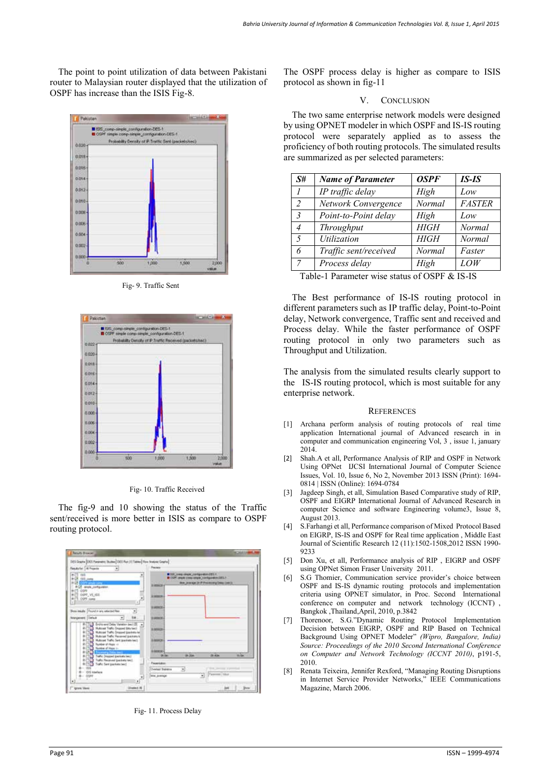The point to point utilization of data between Pakistani router to Malaysian router displayed that the utilization of OSPF has increase than the ISIS Fig-8.



Fig- 9. Traffic Sent



Fig- 10. Traffic Received

The fig-9 and 10 showing the status of the Traffic sent/received is more better in ISIS as compare to OSPF routing protocol.



Fig- 11. Process Delay

The OSPF process delay is higher as compare to ISIS protocol as shown in fig-11

#### V. CONCLUSION

The two same enterprise network models were designed by using OPNET modeler in which OSPF and IS-IS routing protocol were separately applied as to assess the proficiency of both routing protocols. The simulated results are summarized as per selected parameters:

| S#             | <b>Name of Parameter</b> | <b>OSPF</b> | IS-IS         |
|----------------|--------------------------|-------------|---------------|
| $\overline{I}$ | IP traffic delay         | High        | Low           |
| 2              | Network Convergence      | Normal      | <b>FASTER</b> |
| $\overline{3}$ | Point-to-Point delay     | High        | Low           |
| $\overline{4}$ | Throughput               | <b>HIGH</b> | <b>Normal</b> |
| 5              | Utilization              | <b>HIGH</b> | Normal        |
| 6              | Traffic sent/received    | Normal      | Faster        |
| $\overline{7}$ | Process delay            | High        | <i>LOW</i>    |

Table-1 Parameter wise status of OSPF & IS-IS

The Best performance of IS-IS routing protocol in different parameters such as IP traffic delay, Point-to-Point delay, Network convergence, Traffic sent and received and Process delay. While the faster performance of OSPF routing protocol in only two parameters such as Throughput and Utilization.

The analysis from the simulated results clearly support to the IS-IS routing protocol, which is most suitable for any enterprise network.

#### **REFERENCES**

- [1] Archana perform analysis of routing protocols of real time application International journal of Advanced research in in computer and communication engineering Vol, 3 , issue 1, january 2014.
- [2] Shah.A et all, Performance Analysis of RIP and OSPF in Network Using OPNet IJCSI International Journal of Computer Science Issues, Vol. 10, Issue 6, No 2, November 2013 ISSN (Print): 1694- 0814 | ISSN (Online): 1694-0784
- [3] Jagdeep Singh, et all, Simulation Based Comparative study of RIP, OSPF and EIGRP International Journal of Advanced Research in computer Science and software Engineering volume3, Issue 8, August 2013.
- [4] S.Farhangi et all, Performance comparison of Mixed Protocol Based on EIGRP, IS-IS and OSPF for Real time application , Middle East Journal of Scientific Research 12 (11):1502-1508,2012 ISSN 1990- 9233
- [5] Don Xu, et all, Performance analysis of RIP , EIGRP and OSPF using OPNet Simon Fraser University 2011.
- [6] S.G Thomier, Communication service provider's choice between OSPF and IS-IS dynamic routing protocols and implementation criteria using OPNET simulator, in Proc. Second International conference on computer and network technology (ICCNT) , Bangkok ,Thailand,April, 2010, p.3842
- [7] Thorenoor, S.G."Dynamic Routing Protocol Implementation Decision between EIGRP, OSPF and RIP Based on Technical Background Using OPNET Modeler" *(Wipro, Bangalore, India) Source: Proceedings of the 2010 Second International Conference on Computer and Network Technology (ICCNT 2010)*, p191-5, 2010.
- [8] Renata Teixeira, Jennifer Rexford, "Managing Routing Disruptions in Internet Service Provider Networks," IEEE Communications Magazine, March 2006.